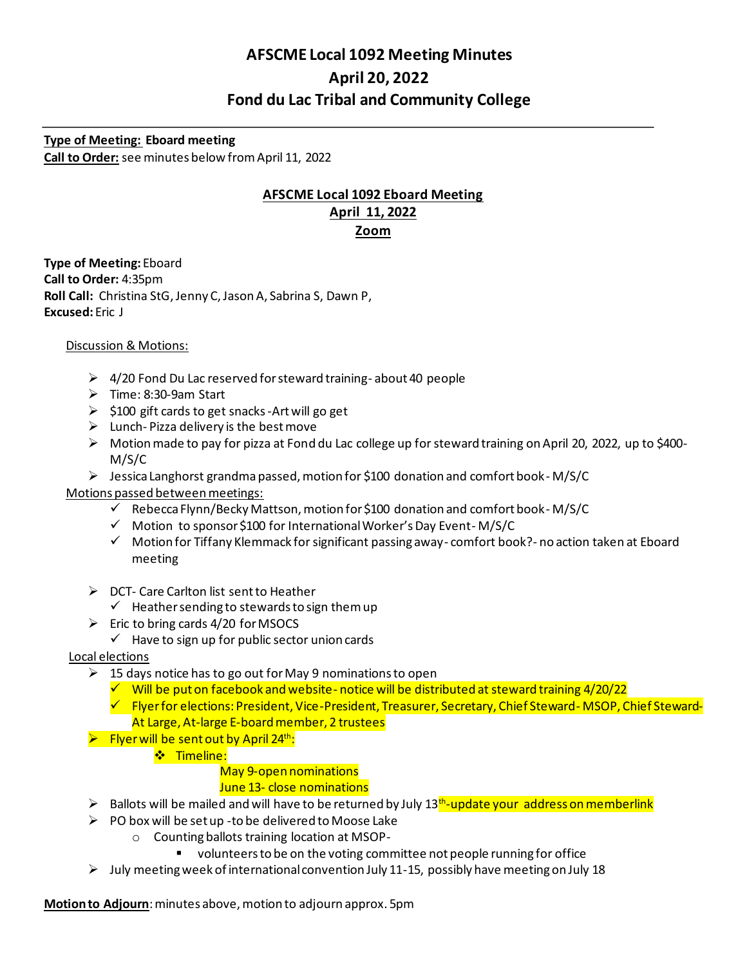# **AFSCME Local 1092 Meeting Minutes April 20, 2022 Fond du Lac Tribal and Community College**

**Type of Meeting: Eboard meeting Call to Order:** see minutes below from April 11, 2022

## **AFSCME Local 1092 Eboard Meeting April 11, 2022 Zoom**

**Type of Meeting:** Eboard **Call to Order:** 4:35pm **Roll Call:** Christina StG, Jenny C, Jason A, Sabrina S, Dawn P, **Excused:** Eric J

## Discussion & Motions:

- ➢ 4/20 Fond Du Lac reserved for steward training- about 40 people
- ➢ Time: 8:30-9am Start
- ➢ \$100 gift cards to get snacks -Art will go get
- $\triangleright$  Lunch-Pizza delivery is the best move
- ➢ Motion made to pay for pizza at Fond du Lac college up for steward training on April 20, 2022, up to \$400- M/S/C
- ➢ Jessica Langhorst grandma passed, motion for \$100 donation and comfort book- M/S/C

## Motions passed between meetings:

- ✓ Rebecca Flynn/Becky Mattson, motion for \$100 donation and comfort book- M/S/C
- ✓ Motion to sponsor \$100 for International Worker's Day Event- M/S/C
- ✓ Motion for Tiffany Klemmack for significant passing away- comfort book?- no action taken at Eboard meeting
- ➢ DCT- Care Carlton list sent to Heather
	- $\checkmark$  Heather sending to stewards to sign them up
- $\triangleright$  Eric to bring cards 4/20 for MSOCS

#### $\checkmark$  Have to sign up for public sector union cards

#### Local elections

- $\geq 15$  days notice has to go out for May 9 nominations to open
	- $\checkmark$  Will be put on facebook and website-notice will be distributed at steward training 4/20/22
	- ✓ Flyer for elections: President, Vice-President, Treasurer, Secretary, Chief Steward- MSOP, Chief Steward-At Large, At-large E-board member, 2 trustees
- $\triangleright$  Flyer will be sent out by April 24<sup>th</sup>:
	- **❖** Timeline:

#### May 9-open nominations

## June 13- close nominations

- > Ballots will be mailed and will have to be returned by July 13<sup>th</sup>-update your address on memberlink
- $\triangleright$  PO box will be set up -to be delivered to Moose Lake
	- o Counting ballots training location at MSOP-
		- volunteers to be on the voting committee not people running for office
- $\triangleright$  July meeting week of international convention July 11-15, possibly have meeting on July 18

**Motion to Adjourn**: minutes above, motion to adjourn approx. 5pm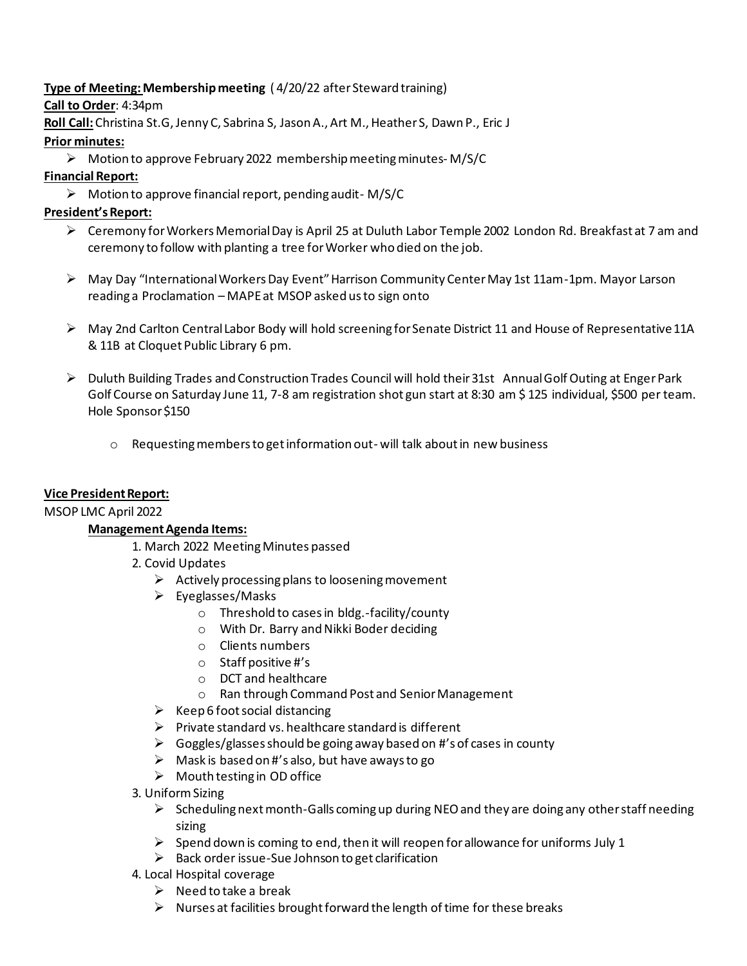# **Type of Meeting: Membership meeting** ( 4/20/22 after Steward training)

**Call to Order**: 4:34pm

**Roll Call:**Christina St.G, Jenny C, Sabrina S, Jason A., Art M., Heather S, Dawn P., Eric J

## **Prior minutes:**

➢ Motion to approve February 2022 membership meeting minutes- M/S/C

## **Financial Report:**

➢ Motion to approve financial report, pending audit- M/S/C

# **President's Report:**

- ➢ Ceremony for Workers Memorial Day is April 25 at Duluth Labor Temple 2002 London Rd. Breakfast at 7 am and ceremony to follow with planting a tree for Worker who died on the job.
- ➢ May Day "International Workers Day Event" Harrison Community Center May 1st 11am-1pm. Mayor Larson reading a Proclamation – MAPE at MSOP asked us to sign onto
- ➢ May 2nd Carlton Central Labor Body will hold screening for Senate District 11 and House of Representative 11A & 11B at Cloquet Public Library 6 pm.
- ➢ Duluth Building Trades and Construction Trades Council will hold their 31st Annual Golf Outing at Enger Park Golf Course on Saturday June 11, 7-8 am registration shot gun start at 8:30 am \$ 125 individual, \$500 per team. Hole Sponsor \$150
	- $\circ$  Requesting members to get information out- will talk about in new business

## **Vice President Report:**

## MSOP LMC April 2022

# **Management Agenda Items:**

- 1. March 2022 Meeting Minutes passed
- 2. Covid Updates
	- $\triangleright$  Actively processing plans to loosening movement
	- ➢ Eyeglasses/Masks
		- o Threshold to cases in bldg.-facility/county
		- o With Dr. Barry and Nikki Boder deciding
		- o Clients numbers
		- o Staff positive #'s
		- o DCT and healthcare
		- o Ran through Command Post and Senior Management
	- $\triangleright$  Keep 6 foot social distancing
	- $\triangleright$  Private standard vs. healthcare standard is different
	- ➢ Goggles/glasses should be going away based on #'s of cases in county
	- $\triangleright$  Mask is based on #'s also, but have aways to go
	- $\triangleright$  Mouth testing in OD office
- 3. Uniform Sizing
	- $\triangleright$  Scheduling next month-Galls coming up during NEO and they are doing any other staff needing sizing
	- $\triangleright$  Spend down is coming to end, then it will reopen for allowance for uniforms July 1
	- ➢ Back order issue-Sue Johnson to get clarification
- 4. Local Hospital coverage
	- $\triangleright$  Need to take a break
	- $\triangleright$  Nurses at facilities brought forward the length of time for these breaks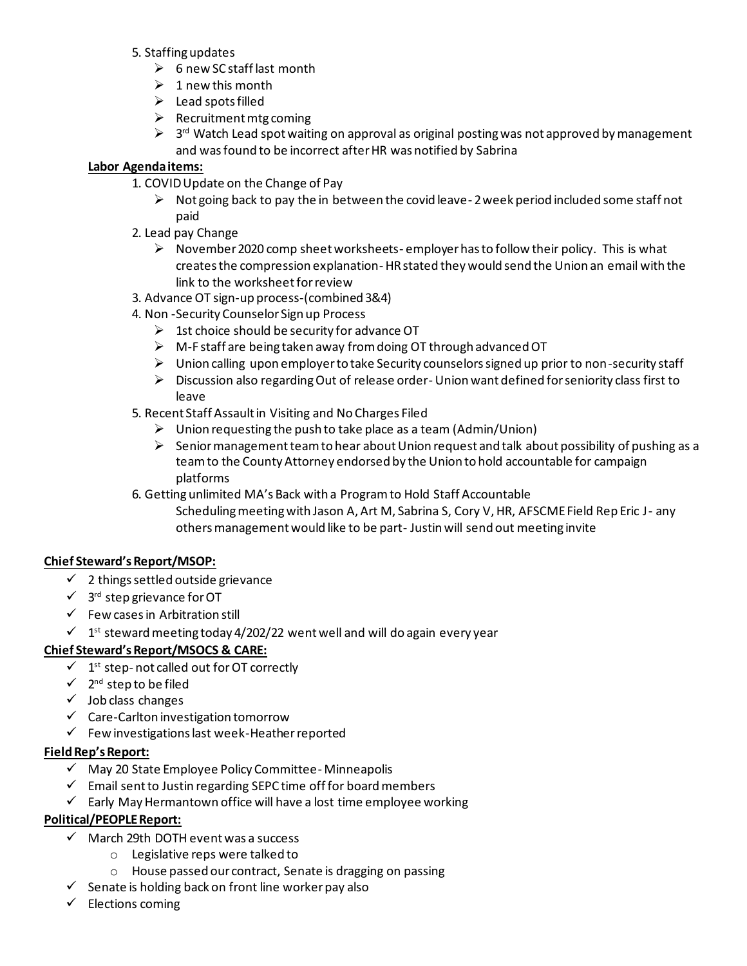- 5. Staffing updates
	- ➢ 6 new SC staff last month
	- $\geq 1$  new this month
	- $\blacktriangleright$  Lead spots filled
	- $\triangleright$  Recruitment mtg coming
	- $\triangleright$  3<sup>rd</sup> Watch Lead spot waiting on approval as original posting was not approved by management and was found to be incorrect after HR was notified by Sabrina

#### **Labor Agenda items:**

- 1. COVID Update on the Change of Pay
	- $\triangleright$  Not going back to pay the in between the covid leave-2 week period included some staff not paid
- 2. Lead pay Change
	- $\triangleright$  November 2020 comp sheet worksheets- employer has to follow their policy. This is what creates the compression explanation- HR stated they would send the Union an email with the link to the worksheet for review
- 3. Advance OT sign-up process-(combined 3&4)
- 4. Non -Security Counselor Sign up Process
	- $\triangleright$  1st choice should be security for advance OT
	- $\triangleright$  M-F staff are being taken away from doing OT through advanced OT
	- $\triangleright$  Union calling upon employer to take Security counselors signed up prior to non-security staff
	- $\triangleright$  Discussion also regarding Out of release order-Union want defined for seniority class first to leave
- 5. Recent Staff Assault in Visiting and No Charges Filed
	- ➢ Union requesting the push to take place as a team (Admin/Union)
	- $\triangleright$  Senior management team to hear about Union request and talk about possibility of pushing as a team to the County Attorney endorsed by the Union to hold accountable for campaign platforms
- 6. Getting unlimited MA's Back with a Program to Hold Staff Accountable
	- Scheduling meeting with Jason A, Art M, Sabrina S, Cory V, HR, AFSCME Field Rep Eric J- any others management would like to be part- Justin will send out meeting invite

## **Chief Steward's Report/MSOP:**

- $\checkmark$  2 things settled outside grievance
- $\checkmark$  3<sup>rd</sup> step grievance for OT
- $\checkmark$  Few cases in Arbitration still
- $\checkmark$  1<sup>st</sup> steward meeting today 4/202/22 went well and will do again every year

## **Chief Steward's Report/MSOCS & CARE:**

- $\checkmark$  1<sup>st</sup> step-not called out for OT correctly
- $\checkmark$  2<sup>nd</sup> step to be filed
- ✓ Job class changes
- ✓ Care-Carlton investigation tomorrow
- ✓ Few investigations last week-Heatherreported

#### **Field Rep's Report:**

- ✓ May 20 State Employee Policy Committee- Minneapolis
- ✓ Email sent to Justin regarding SEPC time off for board members
- $\checkmark$  Early May Hermantown office will have a lost time employee working

## **Political/PEOPLE Report:**

- ✓ March 29th DOTH eventwas a success
	- o Legislative reps were talked to
	- o House passed our contract, Senate is dragging on passing
- $\checkmark$  Senate is holding back on front line worker pay also
- $\checkmark$  Elections coming